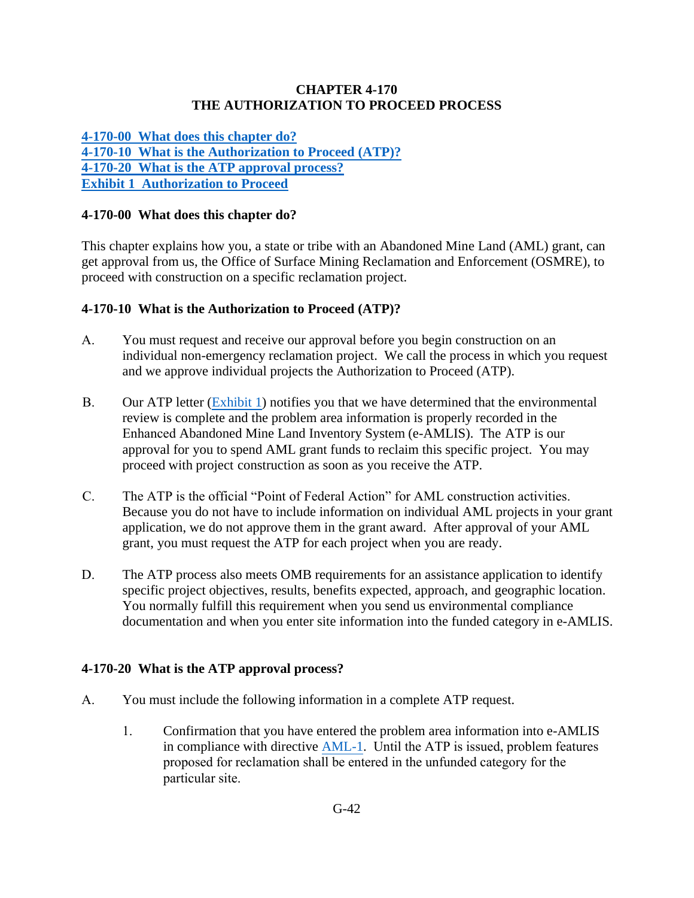### **CHAPTER 4-170 THE AUTHORIZATION TO PROCEED PROCESS**

<span id="page-0-0"></span>**[4-170-00 What does this chapter do?](#page-0-0) [4-170-10 What is the Authorization to Proceed \(ATP\)?](#page-0-1) [4-170-20 What is the ATP approval process?](#page-0-2) Exhibit [1 Authorization to Proceed](#page-2-0)**

## **4-170-00 What does this chapter do?**

This chapter explains how you, a state or tribe with an Abandoned Mine Land (AML) grant, can get approval from us, the Office of Surface Mining Reclamation and Enforcement (OSMRE), to proceed with construction on a specific reclamation project.

## <span id="page-0-1"></span>**4-170-10 What is the Authorization to Proceed (ATP)?**

- A. You must request and receive our approval before you begin construction on an individual non-emergency reclamation project. We call the process in which you request and we approve individual projects the Authorization to Proceed (ATP).
- B. Our ATP letter [\(Exhibit 1\)](#page-2-0) notifies you that we have determined that the environmental review is complete and the problem area information is properly recorded in the Enhanced Abandoned Mine Land Inventory System (e-AMLIS). The ATP is our approval for you to spend AML grant funds to reclaim this specific project. You may proceed with project construction as soon as you receive the ATP.
- C. The ATP is the official "Point of Federal Action" for AML construction activities. Because you do not have to include information on individual AML projects in your grant application, we do not approve them in the grant award. After approval of your AML grant, you must request the ATP for each project when you are ready.
- D. The ATP process also meets OMB requirements for an assistance application to identify specific project objectives, results, benefits expected, approach, and geographic location. You normally fulfill this requirement when you send us environmental compliance documentation and when you enter site information into the funded category in e-AMLIS.

## <span id="page-0-2"></span>**4-170-20 What is the ATP approval process?**

- A. You must include the following information in a complete ATP request.
	- 1. Confirmation that you have entered the problem area information into e-AMLIS in compliance with directive [AML-1.](http://www.osmre.gov/LRG/docs/directive974.pdf) Until the ATP is issued, problem features proposed for reclamation shall be entered in the unfunded category for the particular site.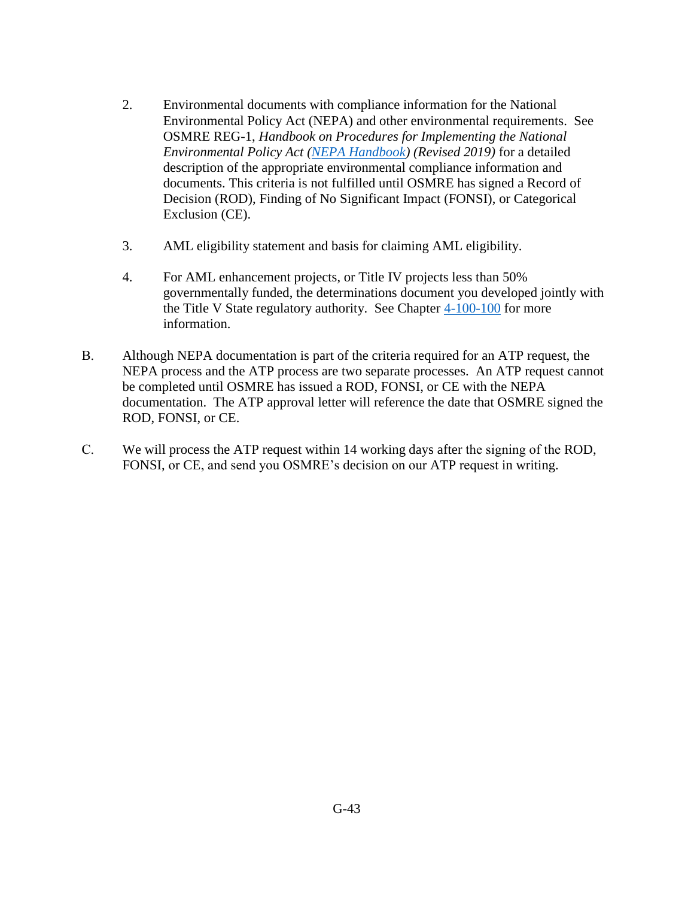- 2. Environmental documents with compliance information for the National Environmental Policy Act (NEPA) and other environmental requirements. See OSMRE REG-1, *Handbook on Procedures for Implementing the National Environmental Policy Act [\(NEPA Handbook\)](https://www.osmre.gov/lrg/nepa.shtm) (Revised 2019)* for a detailed description of the appropriate environmental compliance information and documents. This criteria is not fulfilled until OSMRE has signed a Record of Decision (ROD), Finding of No Significant Impact (FONSI), or Categorical Exclusion (CE).
- 3. AML eligibility statement and basis for claiming AML eligibility.
- 4. For AML enhancement projects, or Title IV projects less than 50% governmentally funded, the determinations document you developed jointly with the Title V State regulatory authority. See Chapter [4-100-100](https://www.osmre.gov/lrg/fam/4-100.pdf) for more information.
- B. Although NEPA documentation is part of the criteria required for an ATP request, the NEPA process and the ATP process are two separate processes. An ATP request cannot be completed until OSMRE has issued a ROD, FONSI, or CE with the NEPA documentation. The ATP approval letter will reference the date that OSMRE signed the ROD, FONSI, or CE.
- C. We will process the ATP request within 14 working days after the signing of the ROD, FONSI, or CE, and send you OSMRE's decision on our ATP request in writing.